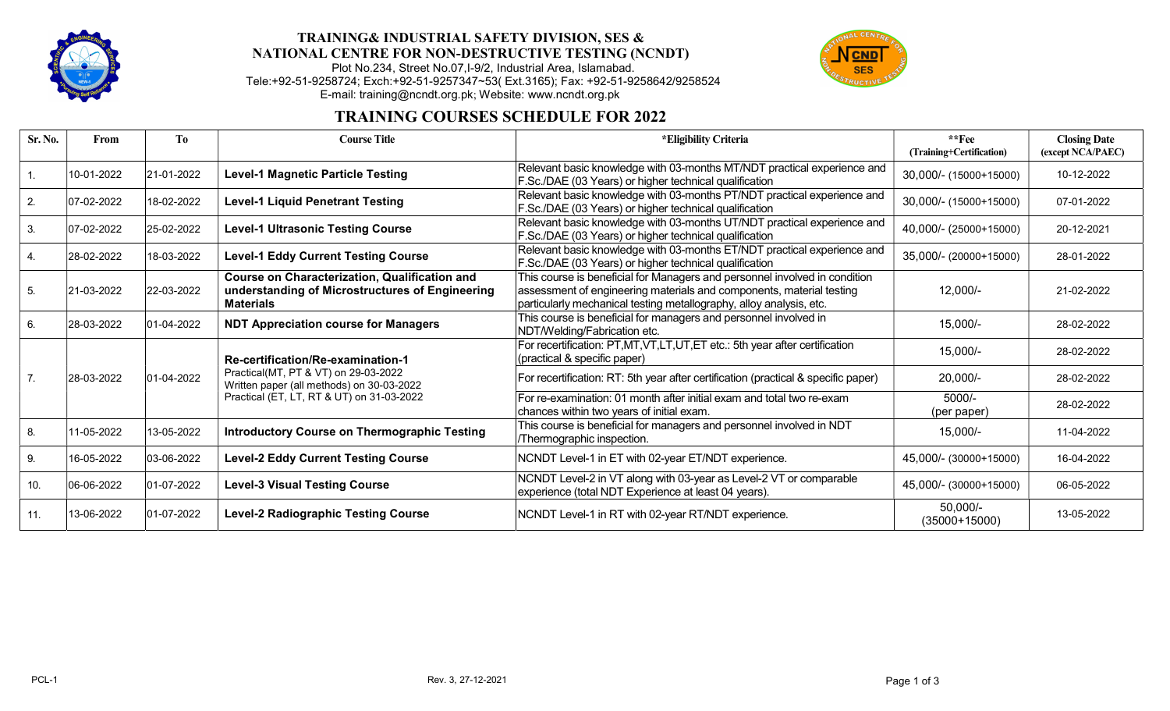

## TRAINING& INDUSTRIAL SAFETY DIVISION, SES & NATIONAL CENTRE FOR NON-DESTRUCTIVE TESTING (NCNDT)

Plot No.234, Street No.07,I-9/2, Industrial Area, Islamabad. Tele:+92-51-9258724; Exch:+92-51-9257347~53( Ext.3165); Fax: +92-51-9258642/9258524 E-mail: training@ncndt.org.pk; Website: www.ncndt.org.pk



## TRAINING COURSES SCHEDULE FOR 2022

| Sr. No. | From           | T <sub>0</sub>     | <b>Course Title</b>                                                                                                                                                 | *Eligibility Criteria                                                                                                                                                                                                     | $*$ $Fee$<br>(Training+Certification) | <b>Closing Date</b><br>(except NCA/PAEC) |
|---------|----------------|--------------------|---------------------------------------------------------------------------------------------------------------------------------------------------------------------|---------------------------------------------------------------------------------------------------------------------------------------------------------------------------------------------------------------------------|---------------------------------------|------------------------------------------|
|         | 10-01-2022     | 21-01-2022         | <b>Level-1 Magnetic Particle Testing</b>                                                                                                                            | Relevant basic knowledge with 03-months MT/NDT practical experience and<br>F.Sc./DAE (03 Years) or higher technical qualification                                                                                         | 30,000/- (15000+15000)                | 10-12-2022                               |
| 2.      | $ 07-02-2022 $ | 18-02-2022         | <b>Level-1 Liquid Penetrant Testing</b>                                                                                                                             | Relevant basic knowledge with 03-months PT/NDT practical experience and<br>F.Sc./DAE (03 Years) or higher technical qualification                                                                                         | 30,000/- (15000+15000)                | 07-01-2022                               |
| 3.      | $ 07-02-2022$  | 25-02-2022         | <b>Level-1 Ultrasonic Testing Course</b>                                                                                                                            | Relevant basic knowledge with 03-months UT/NDT practical experience and<br>F.Sc./DAE (03 Years) or higher technical qualification                                                                                         | 40,000/- (25000+15000)                | 20-12-2021                               |
|         | 28-02-2022     | 18-03-2022         | <b>Level-1 Eddy Current Testing Course</b>                                                                                                                          | Relevant basic knowledge with 03-months ET/NDT practical experience and<br>F.Sc./DAE (03 Years) or higher technical qualification                                                                                         | 35,000/- (20000+15000)                | 28-01-2022                               |
| 5.      | 21-03-2022     | 22-03-2022         | Course on Characterization, Qualification and<br>understanding of Microstructures of Engineering<br><b>Materials</b>                                                | This course is beneficial for Managers and personnel involved in condition<br>assessment of engineering materials and components, material testing<br>particularly mechanical testing metallography, alloy analysis, etc. | $12,000/-$                            | 21-02-2022                               |
| 6.      | 28-03-2022     | $ 01 - 04 - 2022 $ | <b>NDT Appreciation course for Managers</b>                                                                                                                         | This course is beneficial for managers and personnel involved in<br>NDT/Welding/Fabrication etc.                                                                                                                          | $15,000/-$                            | 28-02-2022                               |
|         | 28-03-2022     | $ 01-04-2022 $     | Re-certification/Re-examination-1<br>Practical(MT, PT & VT) on 29-03-2022<br>Written paper (all methods) on 30-03-2022<br>Practical (ET, LT, RT & UT) on 31-03-2022 | For recertification: PT,MT,VT,LT,UT,ET etc.: 5th year after certification<br>(practical & specific paper)                                                                                                                 | $15,000/-$                            | 28-02-2022                               |
| 7.      |                |                    |                                                                                                                                                                     | For recertification: RT: 5th year after certification (practical & specific paper)                                                                                                                                        | 20,000/-                              | 28-02-2022                               |
|         |                |                    |                                                                                                                                                                     | For re-examination: 01 month after initial exam and total two re-exam<br>chances within two years of initial exam.                                                                                                        | 5000/-<br>(per paper)                 | 28-02-2022                               |
| 8.      | 11-05-2022     | 13-05-2022         | <b>Introductory Course on Thermographic Testing</b>                                                                                                                 | This course is beneficial for managers and personnel involved in NDT<br>/Thermographic inspection.                                                                                                                        | $15,000/-$                            | 11-04-2022                               |
| 9.      | 16-05-2022     | $ 03-06-2022 $     | <b>Level-2 Eddy Current Testing Course</b>                                                                                                                          | NCNDT Level-1 in ET with 02-year ET/NDT experience.                                                                                                                                                                       | 45,000/- (30000+15000)                | 16-04-2022                               |
| 10.     | 06-06-2022     | $ 01-07-2022 $     | <b>Level-3 Visual Testing Course</b>                                                                                                                                | NCNDT Level-2 in VT along with 03-year as Level-2 VT or comparable<br>experience (total NDT Experience at least 04 years).                                                                                                | 45,000/- (30000+15000)                | 06-05-2022                               |
| 11.     | 13-06-2022     | 01-07-2022         | <b>Level-2 Radiographic Testing Course</b>                                                                                                                          | NCNDT Level-1 in RT with 02-year RT/NDT experience.                                                                                                                                                                       | $50,000/-$<br>$(35000+15000)$         | 13-05-2022                               |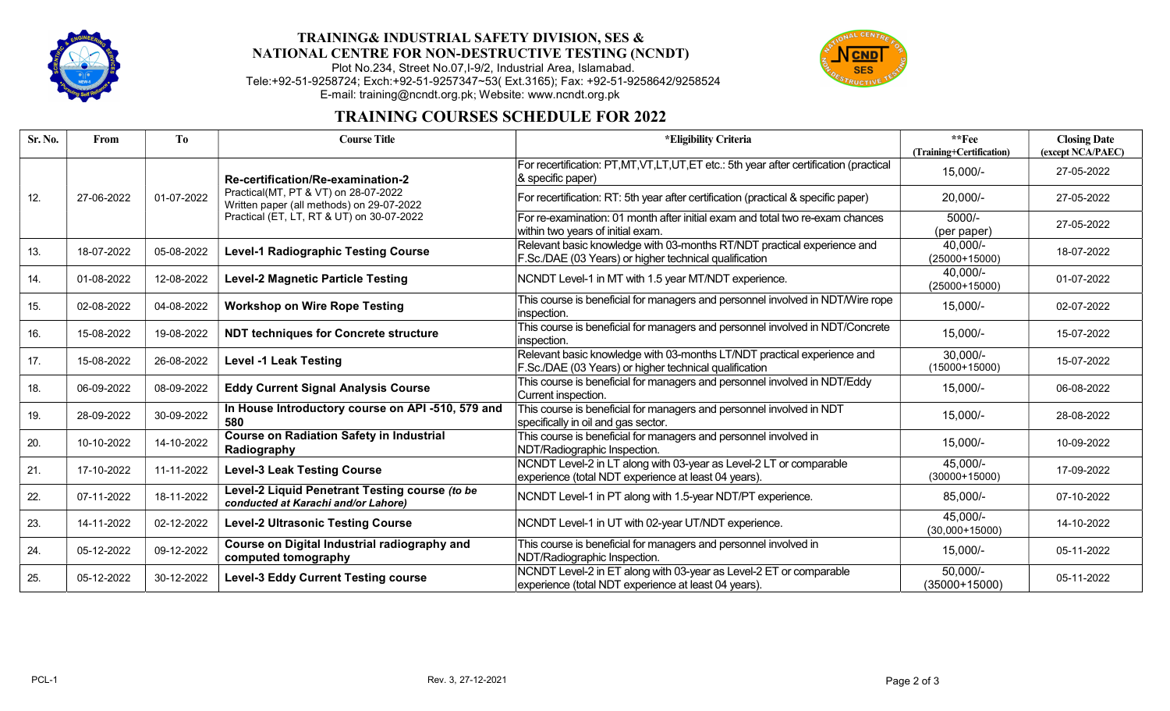

# TRAINING& INDUSTRIAL SAFETY DIVISION, SES & NATIONAL CENTRE FOR NON-DESTRUCTIVE TESTING (NCNDT)

#### Plot No.234, Street No.07,I-9/2, Industrial Area, Islamabad. Tele:+92-51-9258724; Exch:+92-51-9257347~53( Ext.3165); Fax: +92-51-9258642/9258524 E-mail: training@ncndt.org.pk; Website: www.ncndt.org.pk

## TRAINING COURSES SCHEDULE FOR 2022

| Sr. No. | From       | T <sub>0</sub> | <b>Course Title</b>                                                                                                                                                 | *Eligibility Criteria                                                                                                             | $*$ $*$ Fee<br>(Training+Certification) | <b>Closing Date</b><br>(except NCA/PAEC) |
|---------|------------|----------------|---------------------------------------------------------------------------------------------------------------------------------------------------------------------|-----------------------------------------------------------------------------------------------------------------------------------|-----------------------------------------|------------------------------------------|
| 12.     | 27-06-2022 | 01-07-2022     | Re-certification/Re-examination-2<br>Practical(MT, PT & VT) on 28-07-2022<br>Written paper (all methods) on 29-07-2022<br>Practical (ET, LT, RT & UT) on 30-07-2022 | For recertification: PT,MT,VT,LT,UT,ET etc.: 5th year after certification (practical<br>$ &$ specific paper)                      | 15,000/-                                | 27-05-2022                               |
|         |            |                |                                                                                                                                                                     | For recertification: RT: 5th year after certification (practical & specific paper)                                                | 20,000/-                                | 27-05-2022                               |
|         |            |                |                                                                                                                                                                     | For re-examination: 01 month after initial exam and total two re-exam chances<br>within two years of initial exam.                | 5000/-<br>(per paper)                   | 27-05-2022                               |
| 13.     | 18-07-2022 | 05-08-2022     | <b>Level-1 Radiographic Testing Course</b>                                                                                                                          | Relevant basic knowledge with 03-months RT/NDT practical experience and<br>F.Sc./DAE (03 Years) or higher technical qualification | 40,000/-<br>$(25000+15000)$             | 18-07-2022                               |
| 14.     | 01-08-2022 | 12-08-2022     | <b>Level-2 Magnetic Particle Testing</b>                                                                                                                            | NCNDT Level-1 in MT with 1.5 year MT/NDT experience.                                                                              | 40,000/-<br>$(25000+15000)$             | 01-07-2022                               |
| 15.     | 02-08-2022 | 04-08-2022     | <b>Workshop on Wire Rope Testing</b>                                                                                                                                | This course is beneficial for managers and personnel involved in NDT/Wire rope<br>inspection.                                     | 15,000/-                                | 02-07-2022                               |
| 16.     | 15-08-2022 | 19-08-2022     | <b>NDT techniques for Concrete structure</b>                                                                                                                        | This course is beneficial for managers and personnel involved in NDT/Concrete<br>inspection.                                      | $15,000/-$                              | 15-07-2022                               |
| 17.     | 15-08-2022 | 26-08-2022     | <b>Level -1 Leak Testing</b>                                                                                                                                        | Relevant basic knowledge with 03-months LT/NDT practical experience and<br>F.Sc./DAE (03 Years) or higher technical qualification | $30,000/-$<br>$(15000+15000)$           | 15-07-2022                               |
| 18.     | 06-09-2022 | 08-09-2022     | <b>Eddy Current Signal Analysis Course</b>                                                                                                                          | This course is beneficial for managers and personnel involved in NDT/Eddy<br>Current inspection.                                  | $15,000/-$                              | 06-08-2022                               |
| 19.     | 28-09-2022 | 30-09-2022     | In House Introductory course on API -510, 579 and<br>580                                                                                                            | This course is beneficial for managers and personnel involved in NDT<br>specifically in oil and gas sector.                       | $15,000/-$                              | 28-08-2022                               |
| 20.     | 10-10-2022 | 14-10-2022     | <b>Course on Radiation Safety in Industrial</b><br>Radiography                                                                                                      | This course is beneficial for managers and personnel involved in<br>NDT/Radiographic Inspection.                                  | $15,000/-$                              | 10-09-2022                               |
| 21.     | 17-10-2022 | 11-11-2022     | <b>Level-3 Leak Testing Course</b>                                                                                                                                  | NCNDT Level-2 in LT along with 03-year as Level-2 LT or comparable<br>experience (total NDT experience at least 04 years).        | 45,000/-<br>$(30000+15000)$             | 17-09-2022                               |
| 22.     | 07-11-2022 | 18-11-2022     | Level-2 Liquid Penetrant Testing course (to be<br>conducted at Karachi and/or Lahore)                                                                               | NCNDT Level-1 in PT along with 1.5-year NDT/PT experience.                                                                        | 85,000/-                                | 07-10-2022                               |
| 23.     | 14-11-2022 | 02-12-2022     | <b>Level-2 Ultrasonic Testing Course</b>                                                                                                                            | NCNDT Level-1 in UT with 02-year UT/NDT experience.                                                                               | 45,000/-<br>$(30,000+15000)$            | 14-10-2022                               |
| 24.     | 05-12-2022 | 09-12-2022     | Course on Digital Industrial radiography and<br>computed tomography                                                                                                 | This course is beneficial for managers and personnel involved in<br>NDT/Radiographic Inspection.                                  | 15,000/-                                | 05-11-2022                               |
| 25.     | 05-12-2022 | 30-12-2022     | <b>Level-3 Eddy Current Testing course</b>                                                                                                                          | NCNDT Level-2 in ET along with 03-year as Level-2 ET or comparable<br>experience (total NDT experience at least 04 years).        | $50,000/-$<br>$(35000+15000)$           | 05-11-2022                               |